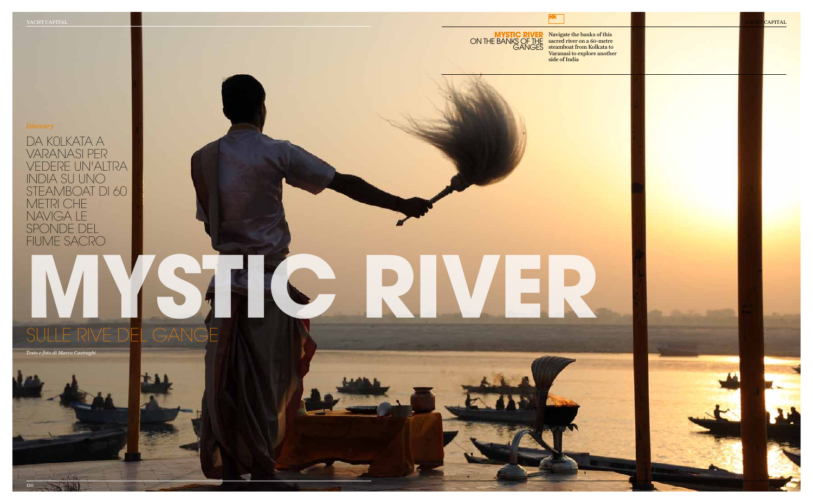da k0lkata a varanasi per vedere un'altra india su uno steamboat di 60 metri che naviga le sponde del fiume sacro

### **Mystic river** ON THE BANKS OF THE **GANGES**

*Testo e foto di Marco Casiraghi*

LE RIVE DEL GANGE

# *Itinerary*

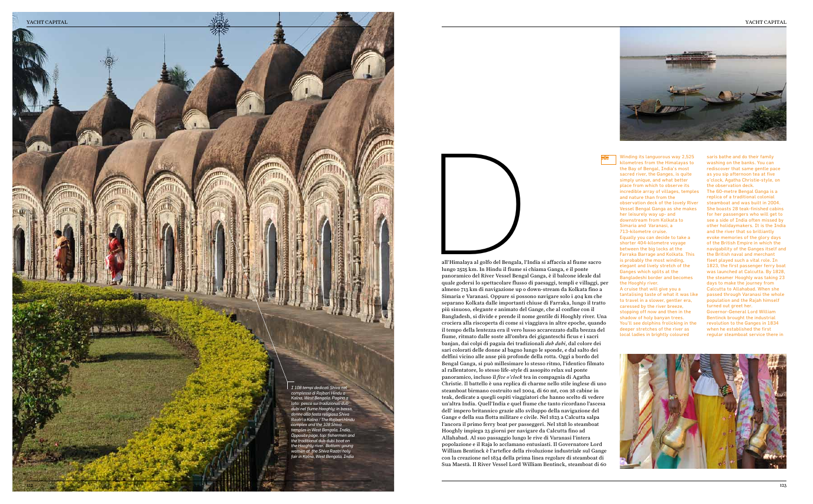Winding its languorous way 2,525 kilometres from the Himalayas to the Bay of Bengal, India's most sacred river, the Ganges, is quite simply unique, and what better place from which to observe its incredible array of villages, temples and nature than from the observation deck of the lovely River Vessel Bengal Ganga as she makes her leisurely way up- and downstream from Kolkata to Simaria and Varanasi, a 713-kilometre cruise. Equally you can decide to take a

shorter 404-kilometre voyage between the big locks at the Farraka Barrage and Kolkata. This is probably the most winding, elegant and lively stretch of the Ganges which splits at the Bangladeshi border and becomes the Hooghly river.

A cruise that will give you a tantalising taste of what it was like to travel in a slower, gentler era, caressed by the river breeze, stopping off now and then in the shadow of holy banyan trees. You'll see dolphins frolicking in the deeper stretches of the river as local ladies in brightly coloured

saris bathe and do their family washing on the banks. You can rediscover that same gentle pace as you sip afternoon tea at five o'clock, Agatha Christie-style, on the observation deck. The 60-metre Bengal Ganga is a replica of a traditional colonial steamboat and was built in 2004. She boasts 28 teak-finished cabins for her passengers who will get to see a side of India often missed by other holidaymakers. It is the India and the river that so brilliantly evoke memories of the glory days of the British Empire in which the navigability of the Ganges itself and the British naval and merchant fleet played such a vital role. In 1823, the first passenger ferry boat was launched at Calcutta. By 1828, the steamer Hooghly was taking 23 days to make the journey from Calcutta to Allahabad. When she passed through Varanasi the whole population and the Rajah himself turned out greet her. Governor-General Lord William Bentinck brought the industrial revolution to the Ganges in 1834 when he established the first regular steamboat service there in





all' Himalaya al golfo del Bengala, l'India si affaccia al fiume sacro lungo 2525 km. In Hindu il fiume si chiama Ganga, e il ponte panoramico del River Vessel Bengal Ganga, è il balcone ideale dal quale godersi lo spettacolare flusso di paesaggi, templi e villaggi, per almeno 713 km di navigazione up o down-stream da Kolkata fino a Simaria e Varanasi. Oppure si possono navigare solo i 404 km che separano Kolkata dalle importanti chiuse di Farraka, lungo il tratto più sinuoso, elegante e animato del Gange, che al confine con il Bangladesh, si divide e prende il nome gentile di Hooghly river. Una crociera alla riscoperta di come si viaggiava in altre epoche, quando il tempo della lentezza era il vero lusso accarezzato dalla brezza del fiume, ritmato dalle soste all'ombra dei giganteschi ficus e i sacri banjan, dai colpi di pagaia dei tradizionali *dub dubi*, dal colore dei sari colorati delle donne al bagno lungo le sponde, e dal salto dei delfini vicino alle anse più profonde della rotta. Oggi a bordo del Bengal Ganga, si può millesimare lo stesso ritmo, l'identico filmato al rallentatore, lo stesso life-style di assopito relax sul ponte panoramico, incluso il *five o'clock* tea in compagnia di Agatha Christie. Il battello è una replica di charme nello stile inglese di uno steamboat birmano costruito nel 2004, di 60 mt, con 28 cabine in teak, dedicate a quegli ospiti viaggiatori che hanno scelto di vedere un'altra India. Quell'India e quel fiume che tanto ricordano l'ascesa dell' impero britannico grazie allo sviluppo della navigazione del Gange e della sua flotta militare e civile. Nel 1823 a Calcutta salpa l'ancora il primo ferry boat per passeggeri. Nel 1828 lo steamboat Hooghly impiega 23 giorni per navigare da Calcutta fino ad Allahabad. Al suo passaggio lungo le rive di Varanasi l'intera popolazione e il Raja lo acclamano entusiasti. Il Governatore Lord William Bentinck è l'artefice della rivoluzione industriale sul Gange con la creazione nel 1834 della prima linea regolare di steamboat di Sua Maestà. Il River Vessel Lord William Bentinck, steamboat di 60

#### YACHT CAPITAL





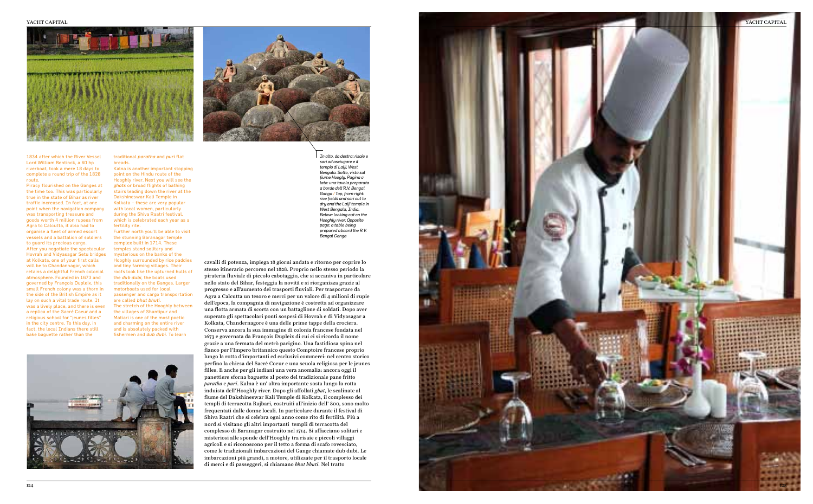#### YACHT CAPITAL





1834 after which the River Vessel Lord William Bentinck, a 60 hp riverboat, took a mere 18 days to complete a round trip of the 1828 route.

Piracy flourished on the Ganges at the time too. This was particularly true in the state of Bihar as river traffic increased. In fact, at one point when the navigation company was transporting treasure and goods worth 4 million rupees from Agra to Calcutta, it also had to organise a fleet of armed escort vessels and a battalion of soldiers to guard its precious cargo. After you negotiate the spectacular Hovrah and Vidyasagar Setu bridges at Kolkata, one of your first calls will be to Chandannagar, which retains a delightful French colonial atmosphere. Founded in 1673 and governed by François Dupleix, this small French colony was a thorn in the side of the British Empire as it lay on such a vital trade route. It was a lively place, and there is even a replica of the Sacré Coeur and a religious school for "jeunes filles" in the city centre. To this day, in fact, the local Indians there still bake baguette rather than the

traditional *paratha* and *puri* flat breads.

Kalna is another important stopping point on the Hindu route of the Hooghly river. Next you will see the *ghats* or broad flights of bathing stairs leading down the river at the Dakshineswar Kali Temple in Kolkata – these are very popular with local women, particularly during the Shiva Raatri festival, which is celebrated each year as a fertility rite.

Further north you'll be able to visit the stunning Baranagar temple complex built in 1714. These temples stand solitary and mysterious on the banks of the Hooghly surrounded by rice paddies and tiny farming villages. Their roofs look like the upturned hulls of the *dub dubi*, the boats used traditionally on the Ganges. Larger motorboats used for local passenger and cargo transportation are called *bhut bhuti*. The stretch of the Hooghly between the villages of Shantipur and Matiari is one of the most poetic and charming on the entire river and is absolutely packed with fishermen and *dub dubi*. To learn



cavalli di potenza, impiega 18 giorni andata e ritorno per coprire lo stesso itinerario percorso nel 1828. Proprio nello stesso periodo la pirateria fluviale di piccolo cabotaggio, che si accaniva in particolare nello stato del Bihar, festeggia la novità e si riorganizza grazie al progresso e all'aumento dei trasporti fluviali. Per trasportare da Agra a Calcutta un tesoro e merci per un valore di 4 milioni di rupie dell'epoca, la compagnia di navigazione è costretta ad organizzare una flotta armata di scorta con un battaglione di soldati. Dopo aver superato gli spettacolari ponti sospesi di Hovrah e di Vidyasagar a Kolkata, Chandernagore è una delle prime tappe della crociera. Conserva ancora la sua immagine di colonia francese fondata nel 1673 e governata da François Dupleix di cui ci si ricorda il nome grazie a una fermata del metrò parigino. Una fastidiosa spina nel fianco per l'Impero britannico questo Comptoire francese proprio lungo la rotta d'importanti ed esclusivi commerci: nel centro storico perfino la chiesa del Sacré Coeur e una scuola religiosa per le jeunes filles. E anche per gli indiani una vera anomalia: ancora oggi il panettiere sforna baguette al posto del tradizionale pane fritto *paratha* e *puri*. Kalna è un' altra importante sosta lungo la rotta induista dell' Hooghly river. Dopo gli affollati *ghat*, le scalinate al fiume del Dakshineswar Kali Temple di Kolkata, il complesso dei templi di terracotta Rajbari, costruiti all'inizio dell' 800, sono molto frequentati dalle donne locali. In particolare durante il festival di Shiva Raatri che si celebra ogni anno come rito di fertilità. Più a nord si visitano gli altri importanti templi di terracotta del complesso di Baranagar costruito nel 1714. Si affacciano solitari e misteriosi alle sponde dell' Hooghly tra risaie e piccoli villaggi agricoli e si riconoscono per il tetto a forma di scafo rovesciato, come le tradizionali imbarcazioni del Gange chiamate dub dubi. Le imbarcazioni più grandi, a motore, utilizzate per il trasporto locale di merci e di passeggeri, si chiamano *bhut bhuti*. Nel tratto

*In alto, da destra: risaie e sari ad asciugare e il tempio di Lalji, West Bengala. Sotto, vista sul fiume Hoogly. Pagina a lato: una tavola preparata a bordo dell'R.V. Bengal Ganga / Top, from right: rice fields and sari out to dry and the Lalji temple in West Bengala, India. Below: looking out on the Hooghly river. Opposite page: a table being prepared aboard the R.V. Bengal Ganga*

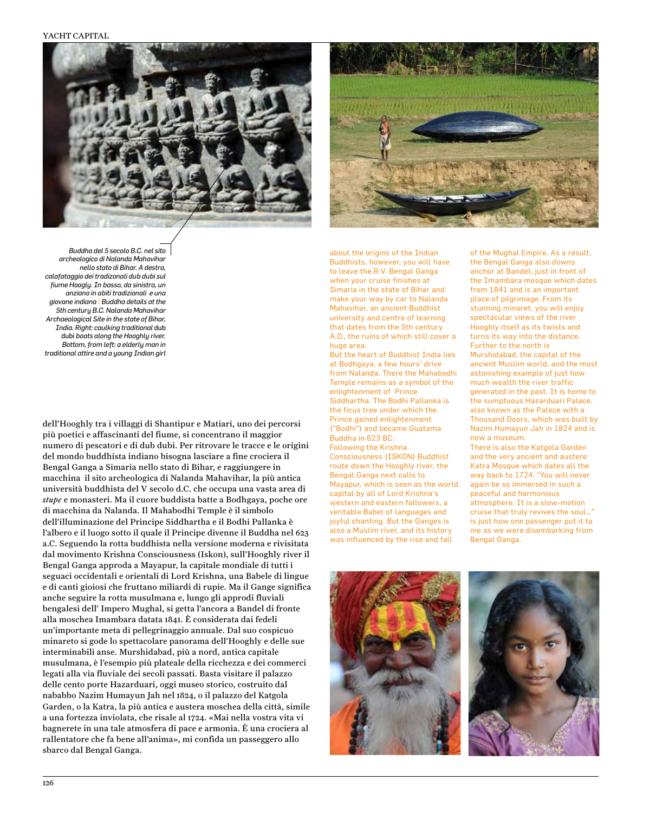#### YACHT CAPITAL





*Buddha del 5 secolo B.C. nel sito archeologico di Nalanda Mahavihar nello stato di Bihar. A destra, calafataggio dei tradizonali dub dubi sul fiume Hoogly. In basso, da sinistra, un anziano in abiti tradizionali e una giovane indiana / Buddha details at the 5th century B.C. Nalanda Mahavihar Archaeological Site in the state of Bihar, India. Right: caulking traditional* dub dubi *boats along the Hooghly river. Bottom, from left: a elderly man in traditional attire and a young Indian girl*

dell'Hooghly tra i villaggi di Shantipur e Matiari, uno dei percorsi più poetici e affascinanti del fiume, si concentrano il maggior numero di pescatori e di dub dubi. Per ritrovare le tracce e le origini del mondo buddhista indiano bisogna lasciare a fine crociera il Bengal Ganga a Simaria nello stato di Bihar, e raggiungere in macchina il sito archeologica di Nalanda Mahavihar, la più antica università buddhista del V secolo d.C. che occupa una vasta area di *stupe* e monasteri. Ma il cuore buddista batte a Bodhgaya, poche ore di macchina da Nalanda. Il Mahabodhi Temple è il simbolo dell'illuminazione del Principe Siddhartha e il Bodhi Pallanka è l'albero e il luogo sotto il quale il Principe divenne il Buddha nel 623 a.C. Seguendo la rotta buddhista nella versione moderna e rivisitata dal movimento Krishna Consciousness (Iskon), sull'Hooghly river il Bengal Ganga approda a Mayapur, la capitale mondiale di tutti i seguaci occidentali e orientali di Lord Krishna, una Babele di lingue e di canti gioiosi che fruttano miliardi di rupie. Ma il Gange significa anche seguire la rotta musulmana e, lungo gli approdi fluviali bengalesi dell' Impero Mughal, si getta l'ancora a Bandel di fronte alla moschea Imambara datata 1841. È considerata dai fedeli un'importante meta di pellegrinaggio annuale. Dal suo cospicuo minareto si gode lo spettacolare panorama dell'Hooghly e delle sue interminabili anse. Murshidabad, più a nord, antica capitale musulmana, è l'esempio più plateale della ricchezza e dei commerci legati alla via fluviale dei secoli passati. Basta visitare il palazzo delle cento porte Hazarduari, oggi museo storico, costruito dal nababbo Nazim Humayun Jah nel 1824, o il palazzo del Katgola Garden, o la Katra, la più antica e austera moschea della città, simile a una fortezza inviolata, che risale al 1724. «Mai nella vostra vita vi bagnerete in una tale atmosfera di pace e armonia. È una crociera al rallentatore che fa bene all'anima», mi confida un passeggero allo sbarco dal Bengal Ganga.

about the origins of the Indian Buddhists, however, you will have to leave the R.V. Bengal Ganga when your cruise finishes at Simaria in the state of Bihar and make your way by car to Nalanda Mahavihar, an ancient Buddhist university and centre of learning that dates from the 5th century A.D., the ruins of which still cover a huge area.

But the heart of Buddhist India lies at Bodhgaya, a few hours' drive from Nalanda. There the Mahabodhi Temple remains as a symbol of the enlightenment of Prince Siddhartha. The Bodhi Pallanka is the ficus tree under which the Prince gained enlightenment ("Bodhi") and became Guatama Buddha in 623 BC. Following the Krishna

Consciousness (ISKON) Buddhist route down the Hooghly river, the Bengal Ganga next calls to Mayapur, which is seen as the world capital by all of Lord Krishna's western and eastern followers, a veritable Babel of languages and joyful chanting. But the Ganges is also a Muslim river, and its history was influenced by the rise and fall

of the Mughal Empire. As a result, the Bengal Ganga also downs anchor at Bandel, just in front of the Imambara mosque which dates from 1841 and is an important place of pilgrimage. From its stunning minaret, you will enjoy spectacular views of the river Hooghly itself as its twists and turns its way into the distance. Further to the north is Murshidabad, the capital of the ancient Muslim world, and the most astonishing example of just how much wealth the river traffic generated in the past. It is home to the sumptuous Hazarduari Palace, also known as the Palace with a Thousand Doors, which was built by Nazim Humayun Jah in 1824 and is now a museum. There is also the Katgola Garden

and the very ancient and austere Katra Mosque which dates all the way back to 1724. "You will never again be so immersed in such a peaceful and harmonious atmosphere. It is a slow-motion cruise that truly revives the soul…" is just how one passenger put it to me as we were disembarking from Bengal Ganga.



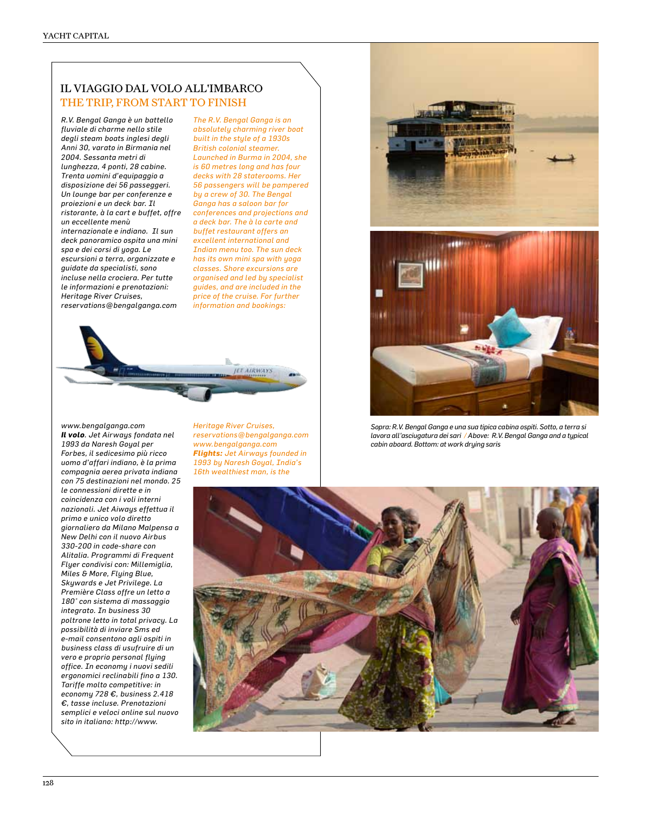## il viaggio dal volo all'imbarco THE TRIP, FROM START TO FINISH

*R.V. Bengal Ganga è un battello fluviale di charme nello stile degli steam boats inglesi degli Anni 30, varato in Birmania nel 2004. Sessanta metri di lunghezza, 4 ponti, 28 cabine. Trenta uomini d'equipaggio a disposizione dei 56 passeggeri. Un lounge bar per conferenze e proiezioni e un deck bar. Il ristorante, à la cart e buffet, offre un eccellente menù internazionale e indiano. Il sun deck panoramico ospita una mini spa e dei corsi di yoga. Le escursioni a terra, organizzate e guidate da specialisti, sono incluse nella crociera. Per tutte le informazioni e prenotazioni: Heritage River Cruises, reservations@bengalganga.com* 

*The R.V. Bengal Ganga is an absolutely charming river boat built in the style of a 1930s British colonial steamer. Launched in Burma in 2004, she is 60 metres long and has four decks with 28 staterooms. Her 56 passengers will be pampered by a crew of 30. The Bengal Ganga has a saloon bar for conferences and projections and a deck bar. The à la carte and buffet restaurant offers an excellent international and Indian menu too. The sun deck has its own mini spa with yoga classes. Shore excursions are organised and led by specialist guides, and are included in the price of the cruise. For further information and bookings:* 



*www.bengalganga.com Il volo. Jet Airways fondata nel 1993 da Naresh Goyal per Forbes, il sedicesimo più ricco uomo d'affari indiano, è la prima compagnia aerea privata indiana con 75 destinazioni nel mondo. 25 le connessioni dirette e in coincidenza con i voli interni nazionali. Jet Aiways effettua il primo e unico volo diretto giornaliero da Milano Malpensa a New Delhi con il nuovo Airbus 330-200 in code-share con Alitalia. Programmi di Frequent Flyer condivisi con: Millemiglia, Miles & More, Flying Blue, Skywards e Jet Privilege. La Première Class offre un letto a 180° con sistema di massaggio integrato. In business 30 poltrone letto in total privacy. La possibilità di inviare Sms ed e-mail consentono agli ospiti in business class di usufruire di un vero e proprio personal flying office. In economy i nuovi sedili ergonomici reclinabili fino a 130. Tariffe molto competitive: in economy 728 €, business 2.418 €, tasse incluse. Prenotazioni semplici e veloci online sul nuovo sito in italiano: http://www.*

*Heritage River Cruises, reservations@bengalganga.com www.bengalganga.com Flights: Jet Airways founded in 1993 by Naresh Goyal, India's 16th wealthiest man, is the* 



*Sopra: R.V. Bengal Ganga e una sua tipica cabina ospiti. Sotto, a terra si lavora all'asciugatura dei sari / Above: R.V. Bengal Ganga and a typical cabin aboard. Bottom: at work drying saris*